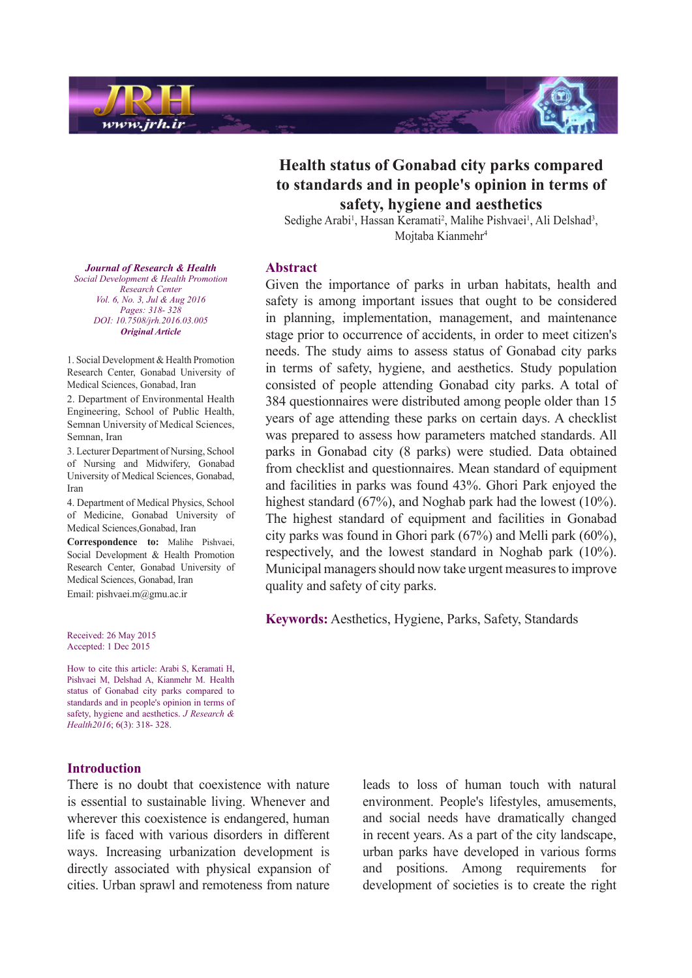

# **Health status of Gonabad city parks compared** to standards and in people's opinion in terms of safety, hygiene and aesthetics

Sedighe Arabi<sup>1</sup>, Hassan Keramati<sup>2</sup>, Malihe Pishvaei<sup>1</sup>, Ali Delshad<sup>3</sup>, Mojtaba Kianmehr<sup>4</sup>

#### **Abstract**

Given the importance of parks in urban habitats, health and safety is among important issues that ought to be considered in planning, implementation, management, and maintenance stage prior to occurrence of accidents, in order to meet citizen's needs. The study aims to assess status of Gonabad city parks in terms of safety, hygiene, and aesthetics. Study population consisted of people attending Gonabad city parks. A total of 384 questionnaires were distributed among people older than 15 years of age attending these parks on certain days. A checklist was prepared to assess how parameters matched standards. All parks in Gonabad city (8 parks) were studied. Data obtained from checklist and questionnaires. Mean standard of equipment and facilities in parks was found 43%. Ghori Park enjoyed the highest standard  $(67%)$ , and Noghab park had the lowest  $(10%)$ . The highest standard of equipment and facilities in Gonabad city parks was found in Ghori park  $(67%)$  and Melli park  $(60%)$ , respectively, and the lowest standard in Noghab park  $(10\%)$ . Municipal managers should now take urgent measures to improve quality and safety of city parks.

Keywords: Aesthetics, Hygiene, Parks, Safety, Standards

*Journal of Research & Health* 

*Social Development & Health Promotion Center Research Vol. 6, No. 3, Jul & Aug 2016* Pages: 318- 328 *DOI*: 10.7508/jrh.2016.03.005 *Article Original*

1. Social Development & Health Promotion Research Center, Gonabad University of Medical Sciences, Gonabad, Iran

2. Department of Environmental Health Engineering, School of Public Health, Semnan University of Medical Sciences, Semnan, Iran

3. Lecturer Department of Nursing, School of Nursing and Midwifery, Gonabad University of Medical Sciences, Gonabad, Iran

4. Department of Medical Physics, School of Medicine, Gonabad University of Medical Sciences, Gonabad, Iran

**Correspondence** to: Malihe Pishvaei. Social Development & Health Promotion Research Center. Gonabad University of Medical Sciences, Gonabad, Iran Email: pishvaei.m $@gmu.ac.in$ 

Received: 26 May 2015 Accepted: 1 Dec 2015

How to cite this article: Arabi S, Keramati H, Pishvaei M, Delshad A, Kianmehr M. Health status of Gonabad city parks compared to standards and in people's opinion in terms of safety, hygiene and aesthetics. *J Research &* Health2016; 6(3): 318- 328.

#### **Introduction**

There is no doubt that coexistence with nature is essential to sustainable living. Whenever and wherever this coexistence is endangered, human life is faced with various disorders in different ways. Increasing urbanization development is directly associated with physical expansion of cities. Urban sprawl and remoteness from nature

leads to loss of human touch with natural environment. People's lifestyles, amusements, and social needs have dramatically changed in recent years. As a part of the city landscape, urban parks have developed in various forms and positions. Among requirements for development of societies is to create the right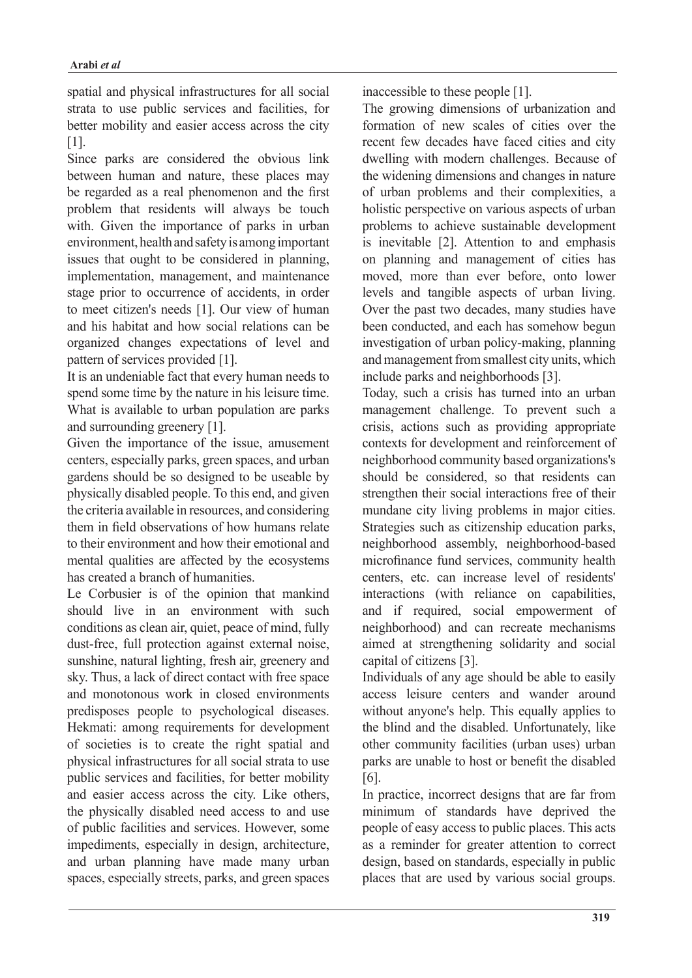spatial and physical infrastructures for all social strata to use public services and facilities, for better mobility and easier access across the city .[1]

Since parks are considered the obvious link between human and nature, these places may be regarded as a real phenomenon and the first problem that residents will always be touch with. Given the importance of parks in urban environment, health and safety is among important issues that ought to be considered in planning, implementation, management, and maintenance stage prior to occurrence of accidents, in order to meet citizen's needs [1]. Our view of human and his habitat and how social relations can be organized changes expectations of level and pattern of services provided [1].

It is an undeniable fact that every human needs to spend some time by the nature in his leisure time. What is available to urban population are parks and surrounding greenery  $[1]$ .

Given the importance of the issue, amusement centers, especially parks, green spaces, and urban gardens should be so designed to be useable by physically disabled people. To this end, and given the criteria available in resources, and considering them in field observations of how humans relate to their environment and how their emotional and mental qualities are affected by the ecosystems has created a branch of humanities.

Le Corbusier is of the opinion that mankind should live in an environment with such conditions as clean air, quiet, peace of mind, fully dust-free, full protection against external noise, sunshine, natural lighting, fresh air, greenery and sky. Thus, a lack of direct contact with free space and monotonous work in closed environments predisposes people to psychological diseases. Hekmati: among requirements for development of societies is to create the right spatial and physical infrastructures for all social strata to use public services and facilities, for better mobility and easier access across the city. Like others, the physically disabled need access to and use of public facilities and services. However, some impediments, especially in design, architecture, and urban planning have made many urban spaces, especially streets, parks, and green spaces

inaccessible to these people  $[1]$ .

The growing dimensions of urbanization and formation of new scales of cities over the recent few decades have faced cities and city dwelling with modern challenges. Because of the widening dimensions and changes in nature of urban problems and their complexities, a holistic perspective on various aspects of urban problems to achieve sustainable development is inevitable  $[2]$ . Attention to and emphasis on planning and management of cities has moved, more than ever before, onto lower levels and tangible aspects of urban living. Over the past two decades, many studies have been conducted, and each has somehow begun investigation of urban policy-making, planning and management from smallest city units, which include parks and neighborhoods [3].

Today, such a crisis has turned into an urban management challenge. To prevent such a crisis, actions such as providing appropriate contexts for development and reinforcement of neighborhood community based organizations's should be considered, so that residents can strengthen their social interactions free of their mundane city living problems in major cities. Strategies such as citizenship education parks, neighborhood assembly, neighborhood-based microfinance fund services, community health centers, etc. can increase level of residents' interactions (with reliance on capabilities, and if required, social empowerment of neighborhood) and can recreate mechanisms aimed at strengthening solidarity and social capital of citizens [3].

Individuals of any age should be able to easily access leisure centers and wander around without anyone's help. This equally applies to the blind and the disabled. Unfortunately, like other community facilities (urban uses) urban parks are unable to host or benefit the disabled .[6]

In practice, incorrect designs that are far from minimum of standards have deprived the people of easy access to public places. This acts as a reminder for greater attention to correct design, based on standards, especially in public places that are used by various social groups.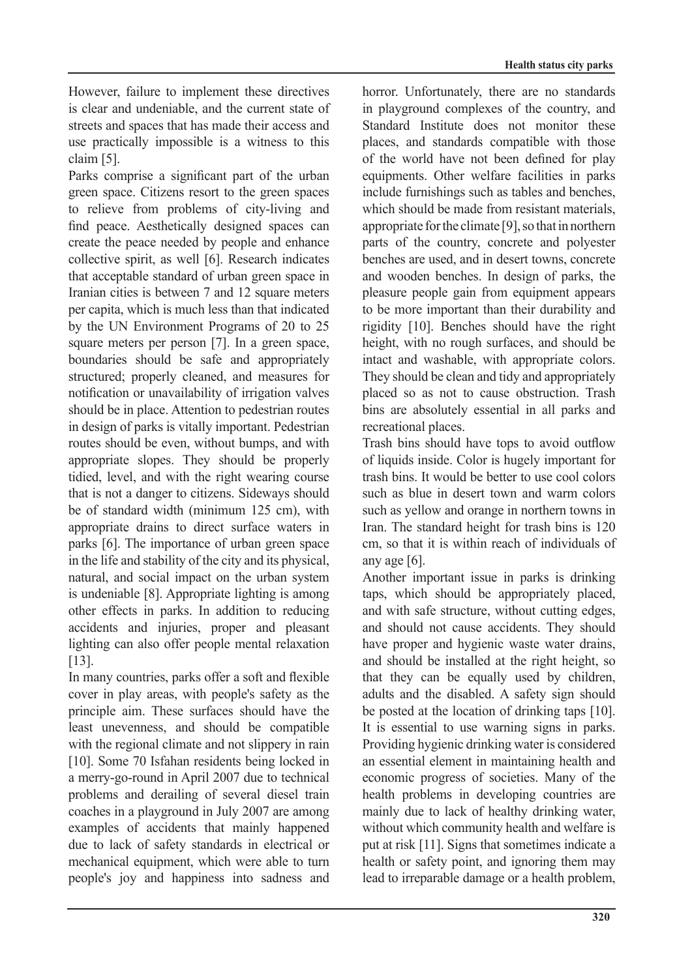However, failure to implement these directives is clear and undeniable, and the current state of streets and spaces that has made their access and use practically impossible is a witness to this claim [5].

Parks comprise a significant part of the urban green space. Citizens resort to the green spaces to relieve from problems of city-living and find peace. Aesthetically designed spaces can create the peace needed by people and enhance collective spirit, as well [6]. Research indicates that acceptable standard of urban green space in Iranian cities is between 7 and 12 square meters per capita, which is much less than that indicated by the UN Environment Programs of 20 to 25 square meters per person  $[7]$ . In a green space, boundaries should be safe and appropriately structured; properly cleaned, and measures for notification or unavailability of irrigation valves should be in place. Attention to pedestrian routes in design of parks is vitally important. Pedestrian routes should be even, without bumps, and with appropriate slopes. They should be properly tidied, level, and with the right wearing course that is not a danger to citizens. Sideways should be of standard width (minimum  $125$  cm), with appropriate drains to direct surface waters in parks [6]. The importance of urban green space in the life and stability of the city and its physical, natural, and social impact on the urban system is undeniable  $[8]$ . Appropriate lighting is among other effects in parks. In addition to reducing accidents and injuries, proper and pleasant lighting can also offer people mental relaxation .[13]

In many countries, parks offer a soft and flexible cover in play areas, with people's safety as the principle aim. These surfaces should have the least unevenness, and should be compatible with the regional climate and not slippery in rain  $[10]$ . Some 70 Isfahan residents being locked in a merry-go-round in April 2007 due to technical problems and derailing of several diesel train coaches in a playground in July 2007 are among examples of accidents that mainly happened due to lack of safety standards in electrical or mechanical equipment, which were able to turn people's joy and happiness into sadness and horror. Unfortunately, there are no standards in playground complexes of the country, and Standard Institute does not monitor these places, and standards compatible with those of the world have not been defined for play equipments. Other welfare facilities in parks include furnishings such as tables and benches. which should be made from resistant materials. appropriate for the climate  $[9]$ , so that in northern parts of the country, concrete and polyester benches are used, and in desert towns, concrete and wooden benches. In design of parks, the pleasure people gain from equipment appears to be more important than their durability and rigidity [10]. Benches should have the right height, with no rough surfaces, and should be intact and washable, with appropriate colors. They should be clean and tidy and appropriately placed so as not to cause obstruction. Trash bins are absolutely essential in all parks and recreational places.

Trash bins should have tops to avoid outflow of liquids inside. Color is hugely important for trash bins. It would be better to use cool colors such as blue in desert town and warm colors such as vellow and orange in northern towns in Iran. The standard height for trash bins is 120 cm, so that it is within reach of individuals of any age  $[6]$ .

Another important issue in parks is drinking taps, which should be appropriately placed, and with safe structure, without cutting edges, and should not cause accidents. They should have proper and hygienic waste water drains, and should be installed at the right height, so that they can be equally used by children, adults and the disabled. A safety sign should be posted at the location of drinking taps  $[10]$ . It is essential to use warning signs in parks. Providing hygienic drinking water is considered an essential element in maintaining health and economic progress of societies. Many of the health problems in developing countries are mainly due to lack of healthy drinking water, without which community health and welfare is put at risk [11]. Signs that sometimes indicate a health or safety point, and ignoring them may lead to irreparable damage or a health problem,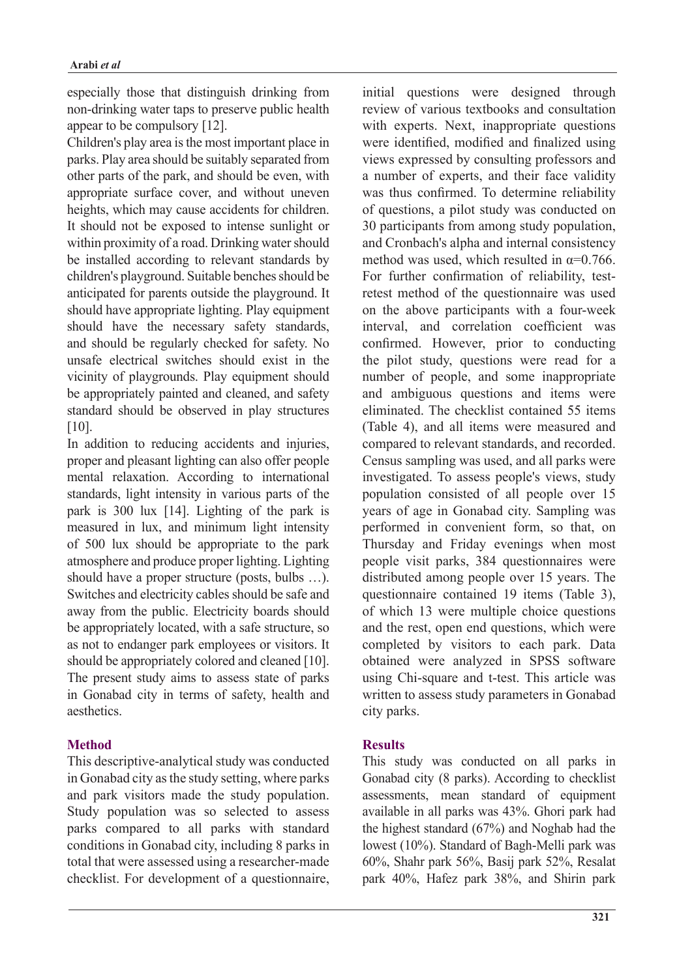especially those that distinguish drinking from health non-drinking water taps to preserve public health appear to be compulsory  $[12]$ .

Children's play area is the most important place in parks. Play area should be suitably separated from other parts of the park, and should be even, with appropriate surface cover, and without uneven heights, which may cause accidents for children. It should not be exposed to intense sunlight or within proximity of a road. Drinking water should be installed according to relevant standards by children's playground. Suitable benches should be anticipated for parents outside the playground. It should have appropriate lighting. Play equipment should have the necessary safety standards, and should be regularly checked for safety. No unsafe electrical switches should exist in the vicinity of playgrounds. Play equipment should be appropriately painted and cleaned, and safety standard should be observed in play structures .[10]

In addition to reducing accidents and injuries, proper and pleasant lighting can also offer people mental relaxation. According to international standards, light intensity in various parts of the park is 300 lux  $[14]$ . Lighting of the park is measured in lux, and minimum light intensity of  $500$  lux should be appropriate to the park atmosphere and produce proper lighting. Lighting should have a proper structure (posts, bulbs ...). Switches and electricity cables should be safe and away from the public. Electricity boards should be appropriately located, with a safe structure, so as not to endanger park employees or visitors. It should be appropriately colored and cleaned [10]. The present study aims to assess state of parks in Gonabad city in terms of safety, health and .aesthetics

# **Method**

This descriptive-analytical study was conducted in Gonabad city as the study setting, where parks and park visitors made the study population. Study population was so selected to assess parks compared to all parks with standard conditions in Gonabad city, including 8 parks in total that were assessed using a researcher-made checklist. For development of a questionnaire, initial questions were designed through review of various textbooks and consultation with experts. Next, inappropriate questions were identified, modified and finalized using views expressed by consulting professors and a number of experts, and their face validity was thus confirmed. To determine reliability of questions, a pilot study was conducted on 30 participants from among study population, and Cronbach's alpha and internal consistency method was used, which resulted in  $\alpha$ =0.766. retest method of the questionnaire was used For further confirmation of reliability, teston the above participants with a four-week interval, and correlation coefficient was confirmed. However, prior to conducting the pilot study, questions were read for a number of people, and some inappropriate and ambiguous questions and items were eliminated. The checklist contained 55 items  $(Table 4)$  and all items were measured and compared to relevant standards, and recorded. Census sampling was used, and all parks were investigated. To assess people's views, study population consisted of all people over 15 years of age in Gonabad city. Sampling was performed in convenient form, so that, on Thursday and Friday evenings when most people visit parks, 384 questionnaires were distributed among people over 15 years. The questionnaire contained  $19$  items (Table 3), of which 13 were multiple choice questions and the rest, open end questions, which were completed by visitors to each park. Data obtained were analyzed in SPSS software using Chi-square and t-test. This article was written to assess study parameters in Gonabad city parks.

# **Results**

This study was conducted on all parks in Gonabad city (8 parks). According to checklist assessments, mean standard of equipment available in all parks was 43%. Ghori park had the highest standard  $(67%)$  and Noghab had the lowest (10%). Standard of Bagh-Melli park was 60%, Shahr park 56%, Basij park 52%, Resalat park 40%, Hafez park 38%, and Shirin park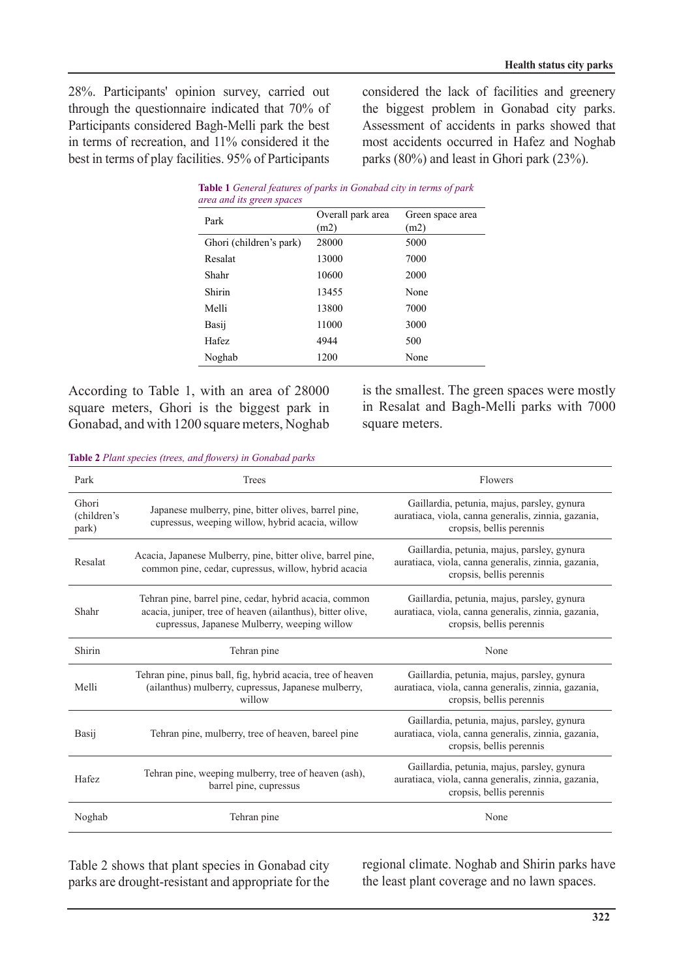28%. Participants' opinion survey, carried out through the questionnaire indicated that 70% of Participants considered Bagh-Melli park the best in terms of recreation, and  $11\%$  considered it the best in terms of play facilities. 95% of Participants

considered the lack of facilities and greenery the biggest problem in Gonabad city parks. Assessment of accidents in parks showed that most accidents occurred in Hafez and Noghab parks  $(80\%)$  and least in Ghori park  $(23\%)$ .

|                                                                           | Overall park area | Green space area |
|---------------------------------------------------------------------------|-------------------|------------------|
| area and its green spaces                                                 |                   |                  |
| <b>Table 1</b> General features of parks in Gonabad city in terms of park |                   |                  |

| Park                    | Overall park area | Green space area |  |  |  |
|-------------------------|-------------------|------------------|--|--|--|
|                         | (m2)              | (m2)             |  |  |  |
| Ghori (children's park) | 28000             | 5000             |  |  |  |
| Resalat                 | 13000             | 7000             |  |  |  |
| Shahr                   | 10600             | 2000             |  |  |  |
| Shirin                  | 13455             | None             |  |  |  |
| Melli                   | 13800             | 7000             |  |  |  |
| Basij                   | 11000             | 3000             |  |  |  |
| Hafez                   | 4944              | 500              |  |  |  |
| Noghab                  | 1200              | None             |  |  |  |

According to Table 1, with an area of  $28000$ square meters, Ghori is the biggest park in Gonabad, and with  $1200$  square meters, Noghab is the smallest. The green spaces were mostly in Resalat and Bagh-Melli parks with 7000 square meters.

**Table 2** Plant species (trees, and flowers) in Gonabad parks

| Japanese mulberry, pine, bitter olives, barrel pine,<br>cupressus, weeping willow, hybrid acacia, willow                                                             | Gaillardia, petunia, majus, parsley, gynura<br>auratiaca, viola, canna generalis, zinnia, gazania,<br>cropsis, bellis perennis |
|----------------------------------------------------------------------------------------------------------------------------------------------------------------------|--------------------------------------------------------------------------------------------------------------------------------|
| Acacia, Japanese Mulberry, pine, bitter olive, barrel pine,<br>common pine, cedar, cupressus, willow, hybrid acacia                                                  | Gaillardia, petunia, majus, parsley, gynura<br>auratiaca, viola, canna generalis, zinnia, gazania,<br>cropsis, bellis perennis |
| Tehran pine, barrel pine, cedar, hybrid acacia, common<br>acacia, juniper, tree of heaven (ailanthus), bitter olive,<br>cupressus, Japanese Mulberry, weeping willow | Gaillardia, petunia, majus, parsley, gynura<br>auratiaca, viola, canna generalis, zinnia, gazania,<br>cropsis, bellis perennis |
| Tehran pine                                                                                                                                                          | None                                                                                                                           |
| Tehran pine, pinus ball, fig, hybrid acacia, tree of heaven<br>(ailanthus) mulberry, cupressus, Japanese mulberry,<br>willow                                         | Gaillardia, petunia, majus, parsley, gynura<br>auratiaca, viola, canna generalis, zinnia, gazania,<br>cropsis, bellis perennis |
| Tehran pine, mulberry, tree of heaven, bareel pine                                                                                                                   | Gaillardia, petunia, majus, parsley, gynura<br>auratiaca, viola, canna generalis, zinnia, gazania,<br>cropsis, bellis perennis |
| Tehran pine, weeping mulberry, tree of heaven (ash),<br>barrel pine, cupressus                                                                                       | Gaillardia, petunia, majus, parsley, gynura<br>auratiaca, viola, canna generalis, zinnia, gazania,<br>cropsis, bellis perennis |
| Tehran pine                                                                                                                                                          | None                                                                                                                           |
|                                                                                                                                                                      |                                                                                                                                |

Table 2 shows that plant species in Gonabad city parks are drought-resistant and appropriate for the regional climate. Noghab and Shirin parks have the least plant coverage and no lawn spaces.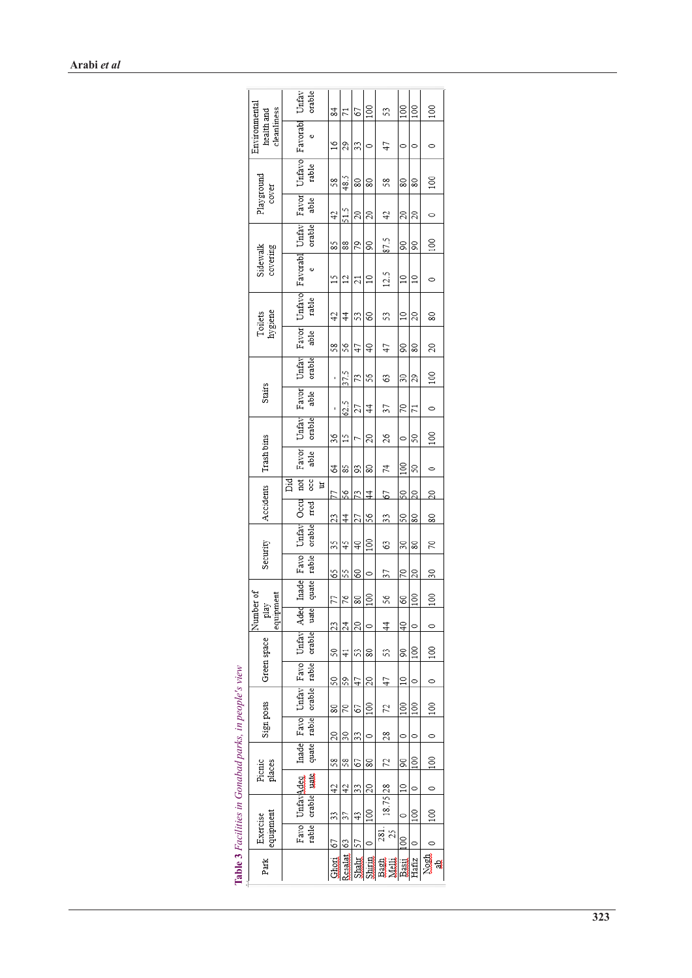|                                            | Unfav                                           | orable                                      | 84              | Ξ                 | 67             | $\approx$       | 53             | 100             | $\approx$                | $\approx$                      |
|--------------------------------------------|-------------------------------------------------|---------------------------------------------|-----------------|-------------------|----------------|-----------------|----------------|-----------------|--------------------------|--------------------------------|
| Environmental<br>cleanliness<br>health and | Unfavo Favorabl                                 | ω                                           | $\frac{6}{1}$   | 29                | 33             | 0               | 47             | $\circ$         | 0                        | 0                              |
|                                            |                                                 | rable                                       | $\frac{8}{5}$   | 48.5              | 80             | 80              | 58             | 80              | 80                       | $\approx$                      |
| Playground<br>cover                        |                                                 | able                                        | 42              | $\frac{515}{21}$  | 20             | 20              | 42             | $\approx$       | 20                       | $\circ$                        |
|                                            |                                                 | orable                                      | SS.             | 88                | 52             | g               | 87.5           | g               | g                        | $\approx$                      |
| Sidewalk<br>covering                       | Unfavo Favorabi Unfav Favor                     | U                                           | $\tilde{c}$     | $\overline{c}$    | $\overline{z}$ | $\approx$       | 125            | $\approx$       | $\approx$                | 0                              |
| hygiene<br>Toilets                         |                                                 | rable                                       | 42              | 4                 | S              | 80              | 53             | $\approx$       | 20                       | 80                             |
|                                            | Favor                                           | able                                        | 58              | 56                | 47             | $\overline{4}$  | 47             | S               | 80                       | 20                             |
|                                            | Unfav                                           | orable                                      | ı               | 37.5              | 73             | 56              | 63             | $\frac{30}{2}$  | 29                       | $\approx$                      |
| Stairs                                     | Favor                                           | able                                        |                 | 62.5              | 27             | $^{44}$         | 37             | 70              | 11                       | $\circ$                        |
|                                            | Unfav                                           | orable                                      | 36              | $\tilde{=}$       | Γ              | 20              | 26             | $\circ$         | $\Im$                    | $\frac{8}{100}$                |
| Trash bins                                 | Favor                                           | able                                        | 34              | SS.               | S              | 80              | 74             | 100             | Ş,                       | $\circ$                        |
| Accidents                                  | $rac{1}{2}$<br>Did                              | occ<br>Ħ                                    | 77              | 56                | 73             | 4               | 67             | S0              | $\overline{20}$          | $\overline{20}$                |
|                                            | Occu                                            | rred                                        | $\overline{23}$ | $\frac{4}{3}$     | 27             | 56              | 33             | $50\,$          | 80                       | 80                             |
| Security                                   | Unfav                                           | orable                                      | 55              | 45                | ₽              | $\approx$       | 63             | $\approx$       | 80                       | 20                             |
|                                            | Favo                                            | quate rable                                 | \$              | 55                | 80             | $\circ$         | 37             | $\overline{70}$ | $\overline{20}$          | $\frac{30}{2}$                 |
| ð<br>Ħ<br>play                             | Inade                                           |                                             | 77              | 21                | 80             | 8               | S6             | 8               | $\frac{8}{100}$          | 100                            |
| Number<br>equipm                           |                                                 | uate                                        | 23              | $\frac{1}{24}$    | 20             | $\circ$         | $\frac{44}{5}$ | $\frac{4}{5}$   | $\circ$                  | $\overline{\phantom{0}}$       |
| Green space                                |                                                 |                                             | Ş               | $\frac{1}{4}$     | S              | 80              | Z              | 8               | $\approx$                | 100                            |
|                                            |                                                 |                                             | SO <sub>1</sub> | $\frac{50}{2}$    | 47             | $\overline{20}$ | 47             | $\approx$       | $\circ$                  | $\supset$                      |
|                                            | Favo Unfavadeq Inade Favo Unfav Favo Unfav Adeq | orable uate quate rable orable rable orable | 80              | 70                | 67             | $\approx$       | 72             | 100             | <b>100</b>               | 100                            |
| Sign posts                                 |                                                 |                                             | $\overline{20}$ | $\approx$         | 33             | 0               | $^{28}$        | $\circ$         | $\circ$                  | $\overline{a}$                 |
| places<br>Picnic                           |                                                 |                                             | $\frac{8}{2}$   | $\frac{8}{5}$     | 67             | 80              | 72             | $\frac{8}{1}$   | $\frac{8}{100}$          | 100                            |
|                                            |                                                 |                                             | $\frac{42}{5}$  | $\frac{4}{2}$     | $\frac{33}{2}$ | $\overline{20}$ |                | $\approx$       | $\overline{\phantom{0}}$ | $\overline{\phantom{0}}$       |
|                                            |                                                 |                                             | $\frac{33}{2}$  | 37                | 43             | $\frac{8}{100}$ | 18.75 28       | $\circ$         | $\frac{8}{100}$          | $\frac{100}{2}$                |
| equipment<br>Exercise                      |                                                 | rable                                       |                 |                   |                | $\frac{1}{2}$   | 281.<br>25     | $\frac{1}{2}$   | $\supseteq$              |                                |
| Park                                       |                                                 |                                             | Ghori 67        | <b>Resalat</b> 63 | $Shabu$  57    | Shanana.        | 思い<br>以上       | <b>Lasal</b>    | Hafiz                    | $\frac{\text{Mean}}{\text{1}}$ |

| ĝ                       |  |
|-------------------------|--|
| $\therefore$ in people. |  |
|                         |  |
| ' parks,                |  |
| Gonabad                 |  |
|                         |  |
| scilities in            |  |
|                         |  |
| ble3F                   |  |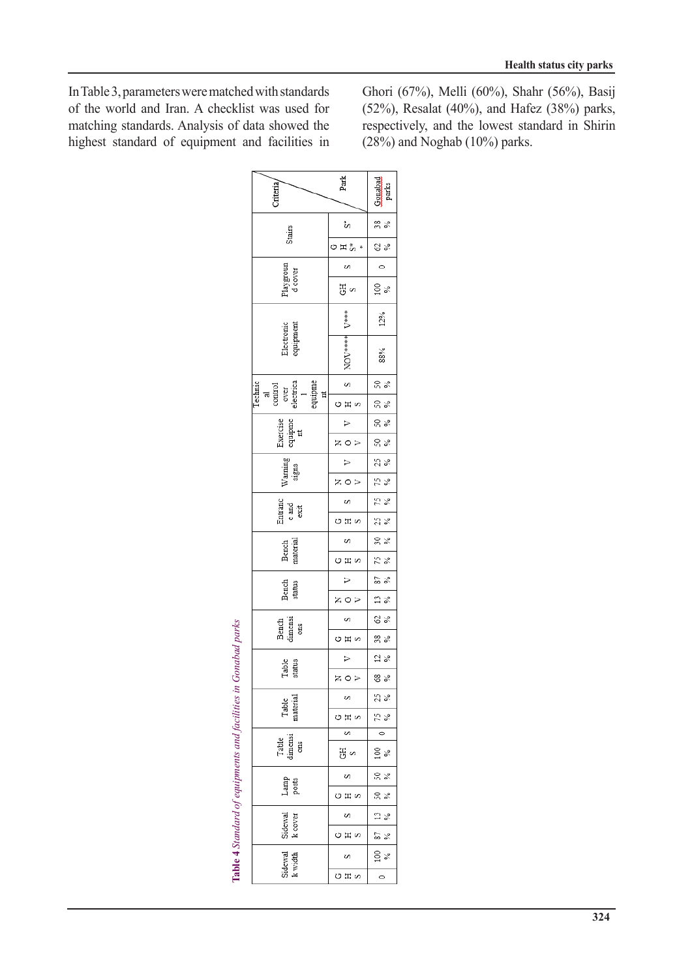In Table 3, parameters were matched with standards of the world and Iran. A checklist was used for matching standards. Analysis of data showed the highest standard of equipment and facilities in Ghori (67%), Melli (60%), Shahr (56%), Basij  $(52\%)$ , Resalat  $(40\%)$ , and Hafez  $(38\%)$  parks, respectively, and the lowest standard in Shirin  $(28\%)$  and Noghab  $(10\%)$  parks.

| interia,                                                                                                                                                                                                                                                                                                                                                                                                                                                     | Park                 | Gonabad<br>parks             |
|--------------------------------------------------------------------------------------------------------------------------------------------------------------------------------------------------------------------------------------------------------------------------------------------------------------------------------------------------------------------------------------------------------------------------------------------------------------|----------------------|------------------------------|
| Stairs                                                                                                                                                                                                                                                                                                                                                                                                                                                       | 'n                   | జ<br>శి                      |
|                                                                                                                                                                                                                                                                                                                                                                                                                                                              | ບ¤ ໊                 | ន<br>៖                       |
|                                                                                                                                                                                                                                                                                                                                                                                                                                                              | S                    | $\circ$                      |
| Playgroun<br>d cover                                                                                                                                                                                                                                                                                                                                                                                                                                         | 명 v                  | ខ្ញុំ                        |
|                                                                                                                                                                                                                                                                                                                                                                                                                                                              |                      | 12%                          |
| Electronic<br>equipment                                                                                                                                                                                                                                                                                                                                                                                                                                      | $NOV***$             | 88%                          |
| $\begin{tabular}{l} \multicolumn{1}{l}{{\bf I}cdmic}\\ \multicolumn{1}{l}{\bf a}&\\ \multicolumn{1}{l}{\bf c} &\\ \multicolumn{1}{l}{\bf c} &\\ \multicolumn{1}{l}{\bf c} &\\ \multicolumn{1}{l}{\bf c} &\\ \multicolumn{1}{l}{\bf c} &\\ \multicolumn{1}{l}{\bf d} &\\ \multicolumn{1}{l}{\bf d} &\\ \multicolumn{1}{l}{\bf d} &\\ \multicolumn{1}{l}{\bf d} &\\ \multicolumn{1}{l}{\bf d} &\\ \multicolumn{1}{l}{\bf d} &\\ \multicolumn{1}{l}{\bf d} &\\$ | s                    | న న                          |
|                                                                                                                                                                                                                                                                                                                                                                                                                                                              | $\Xi$ so<br>Ġ        | 8<br>8                       |
| Exercise<br>equipme<br>nt                                                                                                                                                                                                                                                                                                                                                                                                                                    | $\triangleright$     | ೫ ಜ                          |
|                                                                                                                                                                                                                                                                                                                                                                                                                                                              | $\circ$              | 8<br>8                       |
| Warning<br>signs                                                                                                                                                                                                                                                                                                                                                                                                                                             | ⊳                    | ង<br>៖                       |
|                                                                                                                                                                                                                                                                                                                                                                                                                                                              | z o >                | 75<br>84                     |
| $\begin{array}{c} {\rm Entran} \\ {\rm e} \; {\rm and} \\ {\rm ext} \end{array}$                                                                                                                                                                                                                                                                                                                                                                             | s                    | 75<br>8                      |
|                                                                                                                                                                                                                                                                                                                                                                                                                                                              | し<br>ロー              | 25                           |
| Bench<br>material                                                                                                                                                                                                                                                                                                                                                                                                                                            | s                    | ್ಗ<br>ನಿ                     |
|                                                                                                                                                                                                                                                                                                                                                                                                                                                              | し<br>ロー              | 75<br>%                      |
| Bench<br>status                                                                                                                                                                                                                                                                                                                                                                                                                                              | $\triangleright$     | % s                          |
|                                                                                                                                                                                                                                                                                                                                                                                                                                                              | z o >                | ี่<br>13<br>จั               |
| Bench<br>dimensi<br>ons                                                                                                                                                                                                                                                                                                                                                                                                                                      | S                    | ន ៖                          |
|                                                                                                                                                                                                                                                                                                                                                                                                                                                              | $\mathbb{H}$ so<br>Ò | .<br>೫ ಸ                     |
| Table<br>status                                                                                                                                                                                                                                                                                                                                                                                                                                              |                      | $\overline{c}$<br>$\lesssim$ |
|                                                                                                                                                                                                                                                                                                                                                                                                                                                              | zo>                  | ం<br>శ                       |
| Table<br>naterial                                                                                                                                                                                                                                                                                                                                                                                                                                            | S                    | ష శ                          |
|                                                                                                                                                                                                                                                                                                                                                                                                                                                              | つける                  | 2<br>27                      |
| Table<br>limensi<br>ons                                                                                                                                                                                                                                                                                                                                                                                                                                      | S                    | $\overline{\phantom{0}}$     |
|                                                                                                                                                                                                                                                                                                                                                                                                                                                              | 명 v                  | $\frac{8}{3}$                |
| $_{\tt post}^{\tt Lamp}$                                                                                                                                                                                                                                                                                                                                                                                                                                     | S                    | s<br>8 %                     |
|                                                                                                                                                                                                                                                                                                                                                                                                                                                              | つける                  | %<br>ನಿ                      |
| Sidewal<br>k cover                                                                                                                                                                                                                                                                                                                                                                                                                                           | S)                   | <b>ី</b> ដ                   |
|                                                                                                                                                                                                                                                                                                                                                                                                                                                              | つける                  | % s                          |
| Sidewal<br>k width                                                                                                                                                                                                                                                                                                                                                                                                                                           | S                    | $\frac{8}{3}$                |
|                                                                                                                                                                                                                                                                                                                                                                                                                                                              | つける                  | $\circ$                      |

*Standard of equipments and facilities in Gonabad parks* Table 4 Standard of equipments and facilities in Gonabad parks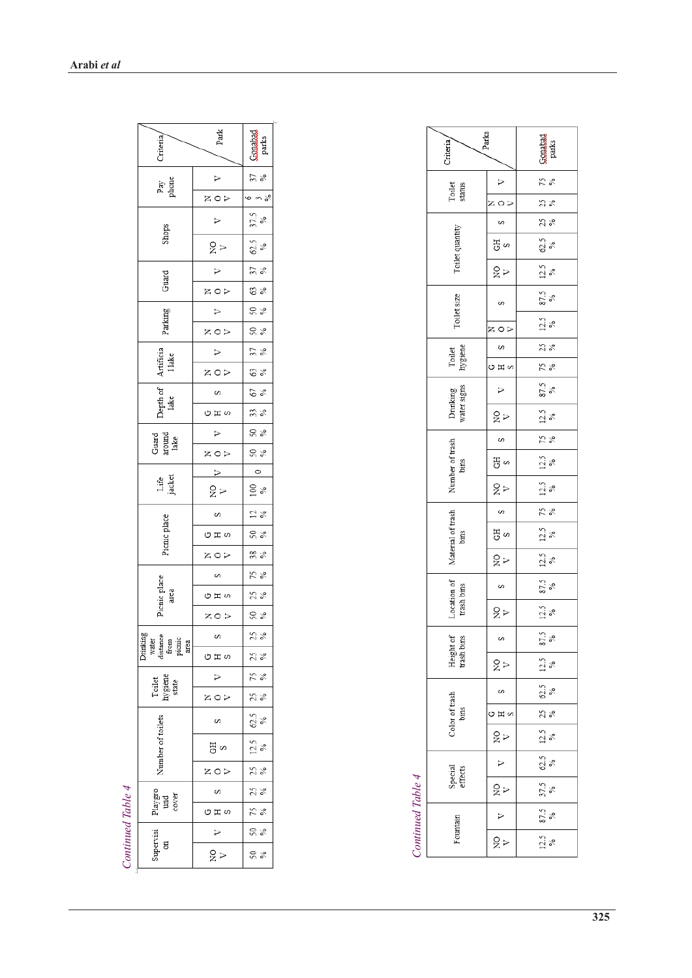| 4 |
|---|
|   |
|   |
|   |
|   |
|   |
|   |
|   |

| Criteria                                                | Park             | Gonabad<br>parks                                      |
|---------------------------------------------------------|------------------|-------------------------------------------------------|
| Pay<br>phone                                            | ⋗                | 37<br>16                                              |
|                                                         | $\frac{1}{z}$    | るきが                                                   |
| Shops                                                   |                  | 37.5<br>%                                             |
|                                                         | 2>               | 62.5<br>%                                             |
|                                                         |                  | $rac{37}{8}$                                          |
| Guard                                                   | $z \circ z$      | ಣ ×                                                   |
| Parking                                                 | $\triangleright$ | 8<br>2                                                |
|                                                         | z o >            | %<br>೧                                                |
| Artificia<br>11ake                                      | $\mathsf{b}$     | 57<br>%                                               |
|                                                         | z o >            | <b>8 %</b>                                            |
| Depth of                                                | s                | %<br>29                                               |
|                                                         | .<br>ウ H S       | <u>ఇ జ</u>                                            |
| $G$ uard<br>around<br>lake                              | Þ                | ន<br>ខ                                                |
|                                                         | $z \circ z$      | % ನ                                                   |
|                                                         | $\geq$           | $\overline{\circ}$                                    |
| Life<br>jacket                                          | $\frac{1}{2}$    | $\frac{8}{3}$                                         |
|                                                         | w                | $\frac{2}{3}$                                         |
| Picnic place                                            | ひ H S            | <br>೧ ×                                               |
|                                                         | z o >            | ೫ ×<br>೫                                              |
| Picnic place<br>area                                    | S                | 75<br>8                                               |
|                                                         | つHS              | ష శ                                                   |
|                                                         | zο               | ន<br>ខ                                                |
| Drnhang<br>water<br>distance<br>from<br>picinic<br>area | S                | ష శ                                                   |
|                                                         | つHS              | 25                                                    |
| Toilet<br>hygiene<br>state                              |                  | $\frac{15}{25}$                                       |
|                                                         | z o >            |                                                       |
|                                                         | S                | $\begin{array}{c c} 62.5 & 25 \\ 96 & 96 \end{array}$ |
| Number of toilets                                       | GF ¤             | $12.5$<br>%                                           |
|                                                         | zo>              | 25<br>25                                              |
| Playgro<br>und<br>cover                                 | S                | 3<br>28                                               |
|                                                         | ひHS              | 75<br>29                                              |
| Supervisi $\begin{vmatrix} x \\ y \\ z \end{vmatrix}$   | Þ                | 8<br>8                                                |
|                                                         | $\frac{8}{5}$    | ನಿ ಜ                                                  |

|                   | Parks<br>Criteria/                                        |                         | Gonabad<br>parks                                                                                                         |
|-------------------|-----------------------------------------------------------|-------------------------|--------------------------------------------------------------------------------------------------------------------------|
|                   | Toilet<br>status                                          | Þ                       | 75<br>$\%$                                                                                                               |
|                   |                                                           | $\overline{\circ}$<br>Z | 25<br>%                                                                                                                  |
|                   |                                                           | $\overline{5}$          | $25 \mid$<br>ž,                                                                                                          |
|                   | Toilet quantity                                           | 명<br>이                  | $62.5$<br>%                                                                                                              |
|                   |                                                           | $\frac{1}{2}$           | $\frac{12.5}{\%}$                                                                                                        |
|                   | Toilet size                                               | S)                      | $\frac{87.5}{96}$                                                                                                        |
|                   |                                                           | Z                       | $\begin{array}{ c c } \hline 25 & 12.5 \\ y_6 & y_6 \end{array}$                                                         |
|                   |                                                           | $rac{Q}{R}$             |                                                                                                                          |
|                   | Toilet<br>hygiene                                         | G<br>G H S              | 75                                                                                                                       |
|                   | water signs<br>Drinking                                   | $\triangleright$        | $rac{87.5}{\%}$                                                                                                          |
|                   |                                                           | $\frac{1}{2}$           | $\begin{array}{c cc} 12.5 & 75 & 12.5 \\ y_6 & y_6 & y_6 \end{array}$                                                    |
|                   | Location of   Material of trash   Number of trash<br>bins | S                       |                                                                                                                          |
|                   |                                                           | 명<br>명이                 |                                                                                                                          |
|                   |                                                           | $\frac{1}{2}$           |                                                                                                                          |
|                   |                                                           | $\frac{1}{\infty}$      |                                                                                                                          |
|                   | bins                                                      | ਸ਼ੂ<br>ਲ                | $\begin{array}{c cc} 12.5 & 12.5 & 75 & 12.5 \\ 96 & 96 & 96 \\ \end{array}$                                             |
|                   |                                                           | $\frac{1}{2}$           |                                                                                                                          |
|                   | trash bins                                                | s                       | $\frac{87.5}{\%}$                                                                                                        |
|                   |                                                           | 2 >                     | 12.5<br>$\frac{6}{6}$                                                                                                    |
|                   | Height of<br>trash bins                                   | s                       | $rac{96}{528}$                                                                                                           |
|                   |                                                           | $\frac{1}{2}$           | $12.5$ %                                                                                                                 |
|                   |                                                           |                         |                                                                                                                          |
|                   | Color of trash<br>bins                                    | .<br>ს ¤ თ              |                                                                                                                          |
|                   |                                                           | $\frac{8}{5}$           |                                                                                                                          |
|                   | Special<br>effects                                        |                         |                                                                                                                          |
|                   |                                                           | $\frac{1}{2}$           |                                                                                                                          |
|                   | Fountain                                                  | $\overline{V}$          | $\begin{array}{c ccccc} 12.5 & 87.5 & 37.5 & 62.5 & 12.5 & 25 & 62.5 \\ 96 & 96 & 96 & 96 & 96 & 96 & 96 \\ \end{array}$ |
| Continued Table 4 |                                                           | $\frac{1}{2}$           |                                                                                                                          |
|                   |                                                           |                         |                                                                                                                          |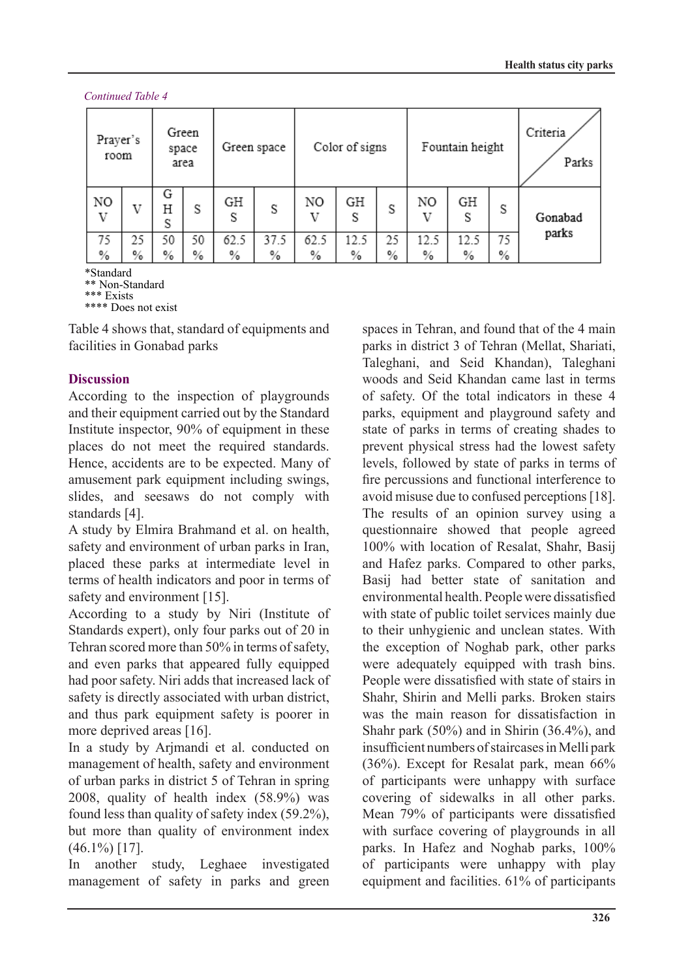#### *4 Table Continued*

| Prayer's<br>room |         |             | Green<br>space<br>area | Green space |           | Color of signs |           | Fountain height |           | Criteria<br>Parks |            |         |
|------------------|---------|-------------|------------------------|-------------|-----------|----------------|-----------|-----------------|-----------|-------------------|------------|---------|
| NO<br>V          | V       | G<br>Η<br>S | S                      | GH<br>S     | S         | NO<br>V        | GH<br>S   | S               | NO        | GH<br>S           | S          | Gonabad |
| 75<br>$\%$       | 25<br>% | 50<br>%     | 50<br>%                | 62.5<br>%   | 37.5<br>% | 62.5<br>%      | 12.5<br>% | 25<br>$\%$      | 12.5<br>% | 12.5<br>%         | 75<br>$\%$ | parks   |

Standard\*

\*\* Non-Standard

\*\*\* Exists \*\*\*\* Does not exist

Table 4 shows that, standard of equipments and facilities in Gonabad parks

## **Discussion**

According to the inspection of playgrounds and their equipment carried out by the Standard Institute inspector,  $90\%$  of equipment in these places do not meet the required standards. Hence, accidents are to be expected. Many of amusement park equipment including swings, slides, and seesaws do not comply with standards [4].

A study by Elmira Brahmand et al. on health, safety and environment of urban parks in Iran, placed these parks at intermediate level in terms of health indicators and poor in terms of safety and environment [15].

According to a study by Niri (Institute of Standards expert), only four parks out of 20 in Tehran scored more than 50% in terms of safety, and even parks that appeared fully equipped had poor safety. Niri adds that increased lack of safety is directly associated with urban district, and thus park equipment safety is poorer in more deprived areas [16].

In a study by Arjmandi et al. conducted on management of health, safety and environment of urban parks in district 5 of Tehran in spring 2008, quality of health index  $(58.9\%)$  was found less than quality of safety index  $(59.2\%)$ , but more than quality of environment index  $(46.1\%)$  [17].

In another study, Leghaee investigated management of safety in parks and green spaces in Tehran, and found that of the 4 main parks in district 3 of Tehran (Mellat, Shariati, Taleghani, and Seid Khandan), Taleghani woods and Seid Khandan came last in terms of safety. Of the total indicators in these 4 parks, equipment and playground safety and state of parks in terms of creating shades to prevent physical stress had the lowest safety levels, followed by state of parks in terms of fire percussions and functional interference to avoid misuse due to confused perceptions  $[18]$ . The results of an opinion survey using a questionnaire showed that people agreed 100% with location of Resalat, Shahr, Basij and Hafez parks. Compared to other parks, Basij had better state of sanitation and environmental health. People were dissatisfied with state of public toilet services mainly due to their unhygienic and unclean states. With the exception of Noghab park, other parks were adequately equipped with trash bins. People were dissatisfied with state of stairs in Shahr, Shirin and Melli parks. Broken stairs was the main reason for dissatisfaction in Shahr park  $(50\%)$  and in Shirin  $(36.4\%)$ , and in sufficient numbers of staircases in Melli park  $(36\%)$ . Except for Resalat park, mean  $66\%$ of participants were unhappy with surface covering of sidewalks in all other parks. Mean 79% of participants were dissatisfied with surface covering of playgrounds in all parks. In Hafez and Noghab parks, 100% of participants were unhappy with play equipment and facilities.  $61\%$  of participants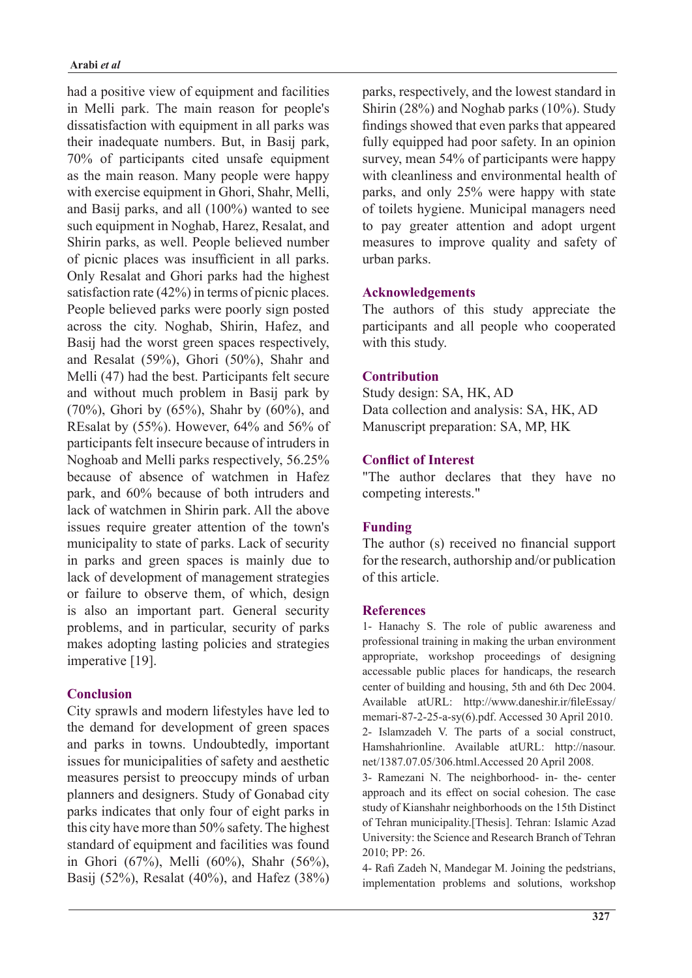had a positive view of equipment and facilities in Melli park. The main reason for people's dissatisfaction with equipment in all parks was their inadequate numbers. But, in Basij park, 70% of participants cited unsafe equipment as the main reason. Many people were happy with exercise equipment in Ghori, Shahr, Melli, and Basij parks, and all  $(100\%)$  wanted to see such equipment in Noghab, Harez, Resalat, and Shirin parks, as well. People believed number of picnic places was insufficient in all parks. Only Resalat and Ghori parks had the highest satisfaction rate  $(42%)$  in terms of picnic places. People believed parks were poorly sign posted across the city. Noghab, Shirin, Hafez, and Basij had the worst green spaces respectively, and Resalat  $(59\%)$ , Ghori  $(50\%)$ , Shahr and Melli (47) had the best. Participants felt secure and without much problem in Basij park by  $(70\%)$ , Ghori by  $(65\%)$ , Shahr by  $(60\%)$ , and REsalat by  $(55\%)$ . However,  $64\%$  and  $56\%$  of participants felt insecure because of intruders in Noghoab and Melli parks respectively, 56.25% because of absence of watchmen in Hafez park, and 60% because of both intruders and lack of watchmen in Shirin park. All the above issues require greater attention of the town's municipality to state of parks. Lack of security in parks and green spaces is mainly due to lack of development of management strategies or failure to observe them, of which, design is also an important part. General security problems, and in particular, security of parks makes adopting lasting policies and strategies imperative [19].

## **Conclusion**

City sprawls and modern lifestyles have led to the demand for development of green spaces and parks in towns. Undoubtedly, important issues for municipalities of safety and aesthetic measures persist to preoccupy minds of urban planners and designers. Study of Gonabad city parks indicates that only four of eight parks in this city have more than 50% safety. The highest standard of equipment and facilities was found in Ghori (67%), Melli (60%), Shahr (56%), Basij (52%), Resalat (40%), and Hafez (38%) parks, respectively, and the lowest standard in Shirin  $(28\%)$  and Noghab parks  $(10\%)$ . Study findings showed that even parks that appeared fully equipped had poor safety. In an opinion survey, mean  $54\%$  of participants were happy with cleanliness and environmental health of parks, and only  $25%$  were happy with state of toilets hygiene. Municipal managers need to pay greater attention and adopt urgent measures to improve quality and safety of urban parks.

## **Acknowledgements**

The authors of this study appreciate the participants and all people who cooperated with this study.

## **Contribution**

Study design: SA, HK, AD Data collection and analysis: SA, HK, AD Manuscript preparation: SA, MP, HK

## **Conflict of Interest**

"The author declares that they have no competing interests."

# **Funding**

The author (s) received no financial support for the research, authorship and/or publication of this article.

## **References**

1- Hanachy S. The role of public awareness and professional training in making the urban environment appropriate, workshop proceedings of designing accessable public places for handicaps, the research center of building and housing, 5th and 6th Dec 2004. Available atURL: http://www.daneshir.ir/fileEssay/ memari-87-2-25-a-sy(6).pdf. Accessed 30 April 2010. 2- Islamzadeh V. The parts of a social construct, Hamshahrionline. Available atURL: http://nasour. net/1387.07.05/306.html.Accessed 20 April 2008.

3- Ramezani N. The neighborhood- in- the- center approach and its effect on social cohesion. The case study of Kianshahr neighborhoods on the 15th Distinct of Tehran municipality [Thesis]. Tehran: Islamic Azad University: the Science and Research Branch of Tehran 2010; PP: 26.

4- Rafi Zadeh N, Mandegar M. Joining the pedstrians, implementation problems and solutions, workshop